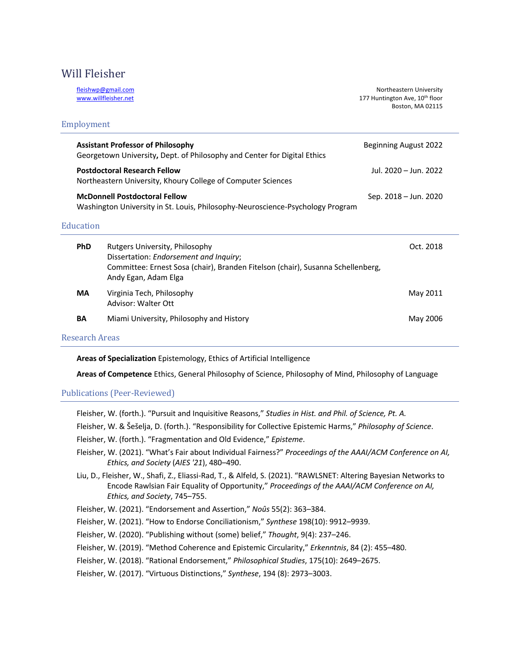## Will Fleisher

| fleishwp@gmail.com   | Northeastern University        |
|----------------------|--------------------------------|
| www.willfleisher.net | 177 Huntington Ave, 10th floor |
|                      | Boston, MA 02115               |
| Employment           |                                |

# **Assistant Professor of Philosophy Beginning August 2022** Georgetown University**,** Dept. of Philosophy and Center for Digital Ethics **Postdoctoral Research Fellow** Jul. 2020 – Jun. 2022 Northeastern University, Khoury College of Computer Sciences **McDonnell Postdoctoral Fellow** Sep. 2018 – Jun. 2020 Washington University in St. Louis, Philosophy-Neuroscience-Psychology Program

#### Education

| <b>PhD</b> | Rutgers University, Philosophy<br>Dissertation: Endorsement and Inquiry;<br>Committee: Ernest Sosa (chair), Branden Fitelson (chair), Susanna Schellenberg,<br>Andy Egan, Adam Elga | Oct. 2018 |
|------------|-------------------------------------------------------------------------------------------------------------------------------------------------------------------------------------|-----------|
| MA         | Virginia Tech, Philosophy<br>Advisor: Walter Ott                                                                                                                                    | May 2011  |
| BA         | Miami University, Philosophy and History                                                                                                                                            | May 2006  |

### Research Areas

**Areas of Specialization** Epistemology, Ethics of Artificial Intelligence

**Areas of Competence** Ethics, General Philosophy of Science, Philosophy of Mind, Philosophy of Language

#### Publications (Peer-Reviewed)

Fleisher, W. (forth.). "Pursuit and Inquisitive Reasons," *Studies in Hist. and Phil. of Science, Pt. A.*

Fleisher, W. & Šešelja, D. (forth.). "Responsibility for Collective Epistemic Harms," *Philosophy of Science*.

Fleisher, W. (forth.). "Fragmentation and Old Evidence," *Episteme*.

- Fleisher, W. (2021). "What's Fair about Individual Fairness?" *Proceedings of the AAAI/ACM Conference on AI, Ethics, and Society* (*AIES '21*), 480–490.
- Liu, D., Fleisher, W., Shafi, Z., Eliassi-Rad, T., & Alfeld, S. (2021). "RAWLSNET: Altering Bayesian Networks to Encode Rawlsian Fair Equality of Opportunity," *Proceedings of the AAAI/ACM Conference on AI, Ethics, and Society*, 745–755.
- Fleisher, W. (2021). "Endorsement and Assertion," *Noûs* 55(2): 363–384.
- Fleisher, W. (2021). "How to Endorse Conciliationism," *Synthese* 198(10): 9912–9939.
- Fleisher, W. (2020). "Publishing without (some) belief," *Thought*, 9(4): 237–246.
- Fleisher, W. (2019). "Method Coherence and Epistemic Circularity," *Erkenntnis*, 84 (2): 455–480.
- Fleisher, W. (2018). "Rational Endorsement," *Philosophical Studies*, 175(10): 2649–2675.

Fleisher, W. (2017). "Virtuous Distinctions," *Synthese*, 194 (8): 2973–3003.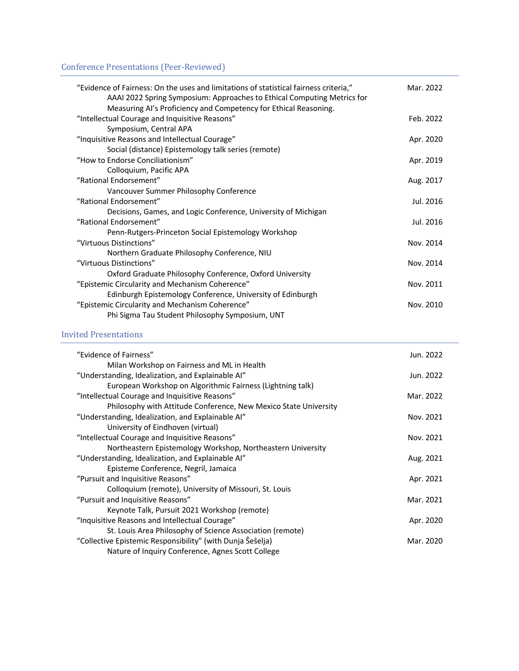# Conference Presentations (Peer-Reviewed)

| "Evidence of Fairness: On the uses and limitations of statistical fairness criteria,"<br>AAAI 2022 Spring Symposium: Approaches to Ethical Computing Metrics for<br>Measuring AI's Proficiency and Competency for Ethical Reasoning. | Mar. 2022 |
|--------------------------------------------------------------------------------------------------------------------------------------------------------------------------------------------------------------------------------------|-----------|
| "Intellectual Courage and Inquisitive Reasons"                                                                                                                                                                                       | Feb. 2022 |
| Symposium, Central APA                                                                                                                                                                                                               |           |
| "Inquisitive Reasons and Intellectual Courage"                                                                                                                                                                                       | Apr. 2020 |
| Social (distance) Epistemology talk series (remote)                                                                                                                                                                                  |           |
| "How to Endorse Conciliationism"                                                                                                                                                                                                     | Apr. 2019 |
| Colloquium, Pacific APA                                                                                                                                                                                                              |           |
| "Rational Endorsement"                                                                                                                                                                                                               | Aug. 2017 |
| Vancouver Summer Philosophy Conference                                                                                                                                                                                               |           |
| "Rational Endorsement"                                                                                                                                                                                                               | Jul. 2016 |
| Decisions, Games, and Logic Conference, University of Michigan                                                                                                                                                                       |           |
| "Rational Endorsement"                                                                                                                                                                                                               | Jul. 2016 |
| Penn-Rutgers-Princeton Social Epistemology Workshop                                                                                                                                                                                  |           |
| "Virtuous Distinctions"                                                                                                                                                                                                              | Nov. 2014 |
| Northern Graduate Philosophy Conference, NIU                                                                                                                                                                                         |           |
| "Virtuous Distinctions"                                                                                                                                                                                                              | Nov. 2014 |
| Oxford Graduate Philosophy Conference, Oxford University                                                                                                                                                                             |           |
| "Epistemic Circularity and Mechanism Coherence"                                                                                                                                                                                      | Nov. 2011 |
| Edinburgh Epistemology Conference, University of Edinburgh                                                                                                                                                                           |           |
| "Epistemic Circularity and Mechanism Coherence"                                                                                                                                                                                      | Nov. 2010 |
| Phi Sigma Tau Student Philosophy Symposium, UNT                                                                                                                                                                                      |           |

## **Invited Presentations**

| "Evidence of Fairness"                                           | Jun. 2022 |
|------------------------------------------------------------------|-----------|
| Milan Workshop on Fairness and ML in Health                      |           |
| "Understanding, Idealization, and Explainable Al"                | Jun. 2022 |
| European Workshop on Algorithmic Fairness (Lightning talk)       |           |
| "Intellectual Courage and Inquisitive Reasons"                   | Mar. 2022 |
| Philosophy with Attitude Conference, New Mexico State University |           |
| "Understanding, Idealization, and Explainable Al"                | Nov. 2021 |
| University of Eindhoven (virtual)                                |           |
| "Intellectual Courage and Inquisitive Reasons"                   | Nov. 2021 |
| Northeastern Epistemology Workshop, Northeastern University      |           |
| "Understanding, Idealization, and Explainable Al"                | Aug. 2021 |
| Episteme Conference, Negril, Jamaica                             |           |
| "Pursuit and Inquisitive Reasons"                                | Apr. 2021 |
| Colloquium (remote), University of Missouri, St. Louis           |           |
| "Pursuit and Inquisitive Reasons"                                | Mar. 2021 |
| Keynote Talk, Pursuit 2021 Workshop (remote)                     |           |
| "Inquisitive Reasons and Intellectual Courage"                   | Apr. 2020 |
| St. Louis Area Philosophy of Science Association (remote)        |           |
| "Collective Epistemic Responsibility" (with Dunja Ŝeŝelja)       | Mar. 2020 |
| Nature of Inquiry Conference, Agnes Scott College                |           |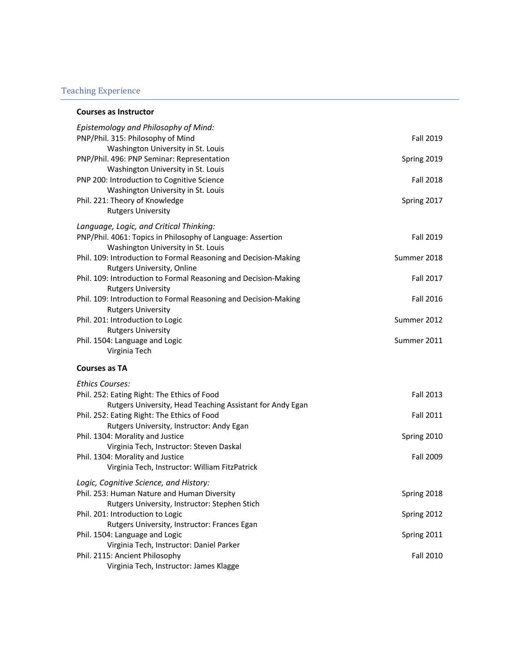# Teaching Experience

| <b>Courses as Instructor</b> |  |  |  |  |
|------------------------------|--|--|--|--|
|------------------------------|--|--|--|--|

| Epistemology and Philosophy of Mind:                                                                  |                  |
|-------------------------------------------------------------------------------------------------------|------------------|
| PNP/Phil. 315: Philosophy of Mind                                                                     | <b>Fall 2019</b> |
| Washington University in St. Louis                                                                    |                  |
| PNP/Phil. 496: PNP Seminar: Representation                                                            | Spring 2019      |
| Washington University in St. Louis<br>PNP 200: Introduction to Cognitive Science                      | <b>Fall 2018</b> |
| Washington University in St. Louis                                                                    |                  |
| Phil. 221: Theory of Knowledge                                                                        | Spring 2017      |
| <b>Rutgers University</b>                                                                             |                  |
| Language, Logic, and Critical Thinking:                                                               |                  |
| PNP/Phil. 4061: Topics in Philosophy of Language: Assertion                                           | <b>Fall 2019</b> |
| Washington University in St. Louis<br>Phil. 109: Introduction to Formal Reasoning and Decision-Making | Summer 2018      |
| Rutgers University, Online                                                                            |                  |
| Phil. 109: Introduction to Formal Reasoning and Decision-Making                                       | Fall 2017        |
| <b>Rutgers University</b>                                                                             |                  |
| Phil. 109: Introduction to Formal Reasoning and Decision-Making                                       | <b>Fall 2016</b> |
| <b>Rutgers University</b><br>Phil. 201: Introduction to Logic                                         | Summer 2012      |
| <b>Rutgers University</b>                                                                             |                  |
| Phil. 1504: Language and Logic                                                                        | Summer 2011      |
| Virginia Tech                                                                                         |                  |
| <b>Courses as TA</b>                                                                                  |                  |
| <b>Ethics Courses:</b>                                                                                |                  |
| Phil. 252: Eating Right: The Ethics of Food                                                           | <b>Fall 2013</b> |
| Rutgers University, Head Teaching Assistant for Andy Egan                                             |                  |
| Phil. 252: Eating Right: The Ethics of Food<br>Rutgers University, Instructor: Andy Egan              | <b>Fall 2011</b> |
| Phil. 1304: Morality and Justice                                                                      | Spring 2010      |
| Virginia Tech, Instructor: Steven Daskal                                                              |                  |
| Phil. 1304: Morality and Justice                                                                      | Fall 2009        |
| Virginia Tech, Instructor: William FitzPatrick                                                        |                  |
| Logic, Cognitive Science, and History:                                                                |                  |
| Phil. 253: Human Nature and Human Diversity                                                           | Spring 2018      |
| Rutgers University, Instructor: Stephen Stich<br>Phil. 201: Introduction to Logic                     | Spring 2012      |
| Rutgers University, Instructor: Frances Egan                                                          |                  |
| Phil. 1504: Language and Logic                                                                        | Spring 2011      |
| Virginia Tech, Instructor: Daniel Parker                                                              |                  |
| Phil. 2115: Ancient Philosophy<br>Virginia Tech, Instructor: James Klagge                             | <b>Fall 2010</b> |
|                                                                                                       |                  |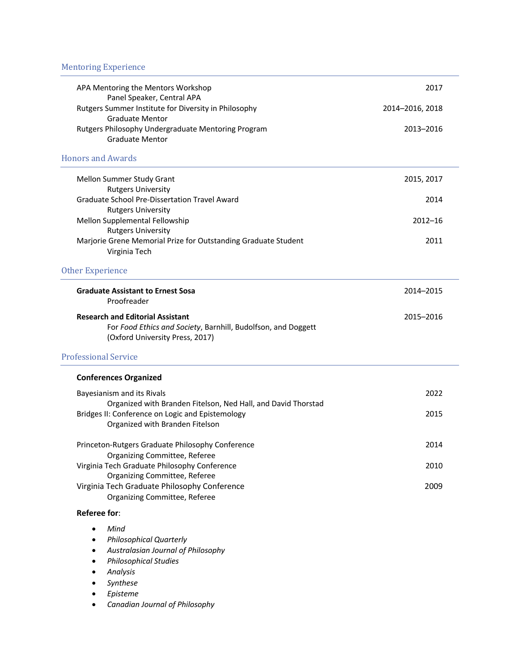## **Mentoring Experience**

| APA Mentoring the Mentors Workshop                             | 2017            |
|----------------------------------------------------------------|-----------------|
| Panel Speaker, Central APA                                     |                 |
| Rutgers Summer Institute for Diversity in Philosophy           | 2014-2016, 2018 |
| <b>Graduate Mentor</b>                                         |                 |
| Rutgers Philosophy Undergraduate Mentoring Program             | 2013-2016       |
| <b>Graduate Mentor</b>                                         |                 |
| <b>Honors and Awards</b>                                       |                 |
| Mellon Summer Study Grant                                      | 2015, 2017      |
| <b>Rutgers University</b>                                      |                 |
| <b>Graduate School Pre-Dissertation Travel Award</b>           | 2014            |
| <b>Rutgers University</b>                                      |                 |
| Mellon Supplemental Fellowship                                 | $2012 - 16$     |
| <b>Rutgers University</b>                                      |                 |
| Marjorie Grene Memorial Prize for Outstanding Graduate Student | 2011            |
| Virginia Tech                                                  |                 |
| <b>Other Experience</b>                                        |                 |
| <b>Graduate Assistant to Ernest Sosa</b>                       | 2014-2015       |
| Proofreader                                                    |                 |
| <b>Research and Editorial Assistant</b>                        | 2015-2016       |
| For Food Ethics and Society, Barnhill, Budolfson, and Doggett  |                 |
| (Oxford University Press, 2017)                                |                 |
| <b>Professional Service</b>                                    |                 |
| <b>Conferences Organized</b>                                   |                 |
| Bayesianism and its Rivals                                     | 2022            |
| Organized with Branden Fitelson, Ned Hall, and David Thorstad  |                 |
| Bridges II: Conference on Logic and Epistemology               | 2015            |
| Organized with Branden Fitelson                                |                 |
| Princeton-Rutgers Graduate Philosophy Conference               | 2014            |
| Organizing Committee, Referee                                  |                 |
| Virginia Tech Graduate Philosophy Conference                   | 2010            |
| Organizing Committee, Referee                                  |                 |
| Virginia Tech Graduate Philosophy Conference                   | 2009            |
| Organizing Committee, Referee                                  |                 |
|                                                                |                 |

### **Referee for**:

- *Mind*
- *Philosophical Quarterly*
- *Australasian Journal of Philosophy*
- *Philosophical Studies*
- *Analysis*
- *Synthese*
- *Episteme*
- *Canadian Journal of Philosophy*